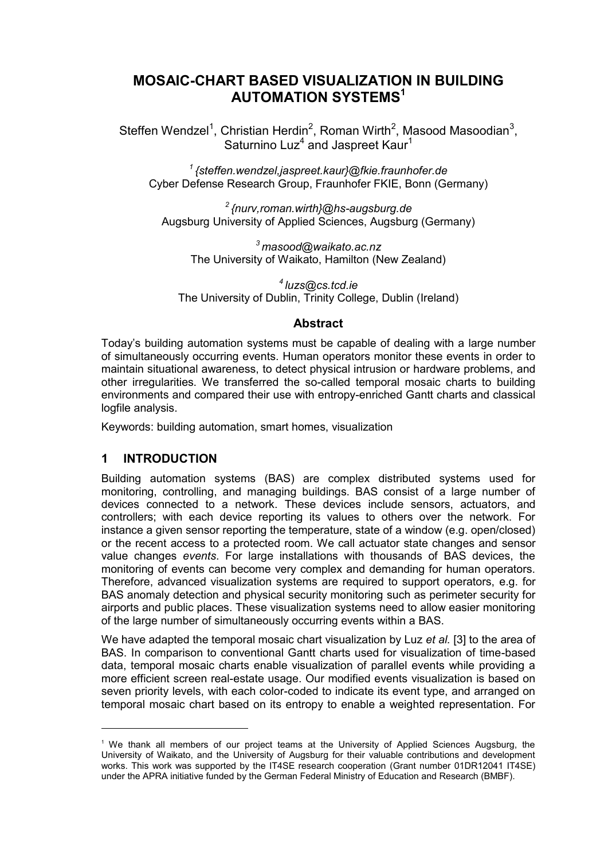# **MOSAIC-CHART BASED VISUALIZATION IN BUILDING AUTOMATION SYSTEMS<sup>1</sup>**

Steffen Wendzel<sup>1</sup>, Christian Herdin<sup>2</sup>, Roman Wirth<sup>2</sup>, Masood Masoodian<sup>3</sup>, Saturnino Luz<sup>4</sup> and Jaspreet Kaur<sup>1</sup>

*<sup>1</sup>{steffen.wendzel,jaspreet.kaur}@fkie.fraunhofer.de* Cyber Defense Research Group, Fraunhofer FKIE, Bonn (Germany)

*<sup>2</sup>{nurv,roman.wirth}@hs-augsburg.de* Augsburg University of Applied Sciences, Augsburg (Germany)

*<sup>3</sup>masood@waikato.ac.nz* The University of Waikato, Hamilton (New Zealand)

*<sup>4</sup>luzs@cs.tcd.ie* The University of Dublin, Trinity College, Dublin (Ireland)

### **Abstract**

Today's building automation systems must be capable of dealing with a large number of simultaneously occurring events. Human operators monitor these events in order to maintain situational awareness, to detect physical intrusion or hardware problems, and other irregularities. We transferred the so-called temporal mosaic charts to building environments and compared their use with entropy-enriched Gantt charts and classical logfile analysis.

Keywords: building automation, smart homes, visualization

## **1 INTRODUCTION**

l

Building automation systems (BAS) are complex distributed systems used for monitoring, controlling, and managing buildings. BAS consist of a large number of devices connected to a network. These devices include sensors, actuators, and controllers; with each device reporting its values to others over the network. For instance a given sensor reporting the temperature, state of a window (e.g. open/closed) or the recent access to a protected room. We call actuator state changes and sensor value changes *events*. For large installations with thousands of BAS devices, the monitoring of events can become very complex and demanding for human operators. Therefore, advanced visualization systems are required to support operators, e.g. for BAS anomaly detection and physical security monitoring such as perimeter security for airports and public places. These visualization systems need to allow easier monitoring of the large number of simultaneously occurring events within a BAS.

We have adapted the temporal mosaic chart visualization by Luz *et al.* [3] to the area of BAS. In comparison to conventional Gantt charts used for visualization of time-based data, temporal mosaic charts enable visualization of parallel events while providing a more efficient screen real-estate usage. Our modified events visualization is based on seven priority levels, with each color-coded to indicate its event type, and arranged on temporal mosaic chart based on its entropy to enable a weighted representation. For

<sup>&</sup>lt;sup>1</sup> We thank all members of our project teams at the University of Applied Sciences Augsburg, the University of Waikato, and the University of Augsburg for their valuable contributions and development works. This work was supported by the IT4SE research cooperation (Grant number 01DR12041 IT4SE) under the APRA initiative funded by the German Federal Ministry of Education and Research (BMBF).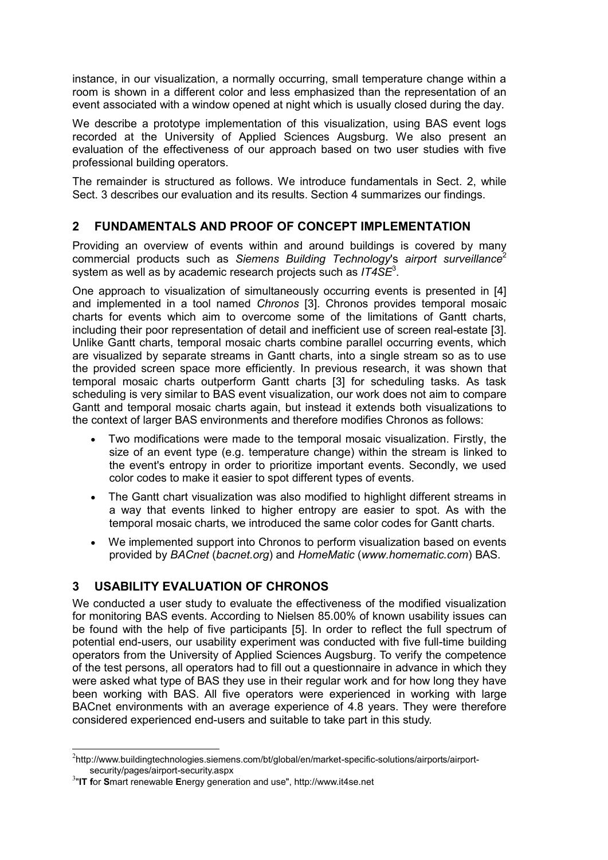instance, in our visualization, a normally occurring, small temperature change within a room is shown in a different color and less emphasized than the representation of an event associated with a window opened at night which is usually closed during the day.

We describe a prototype implementation of this visualization, using BAS event logs recorded at the University of Applied Sciences Augsburg. We also present an evaluation of the effectiveness of our approach based on two user studies with five professional building operators.

The remainder is structured as follows. We introduce fundamentals in Sect. 2, while Sect. 3 describes our evaluation and its results. Section 4 summarizes our findings.

## **2 FUNDAMENTALS AND PROOF OF CONCEPT IMPLEMENTATION**

Providing an overview of events within and around buildings is covered by many commercial products such as *Siemens Building Technology*'s *airport surveillance*<sup>2</sup> system as well as by academic research projects such as *IT4SE*<sup>3</sup> .

One approach to visualization of simultaneously occurring events is presented in [4] and implemented in a tool named *Chronos* [3]. Chronos provides temporal mosaic charts for events which aim to overcome some of the limitations of Gantt charts, including their poor representation of detail and inefficient use of screen real-estate [3]. Unlike Gantt charts, temporal mosaic charts combine parallel occurring events, which are visualized by separate streams in Gantt charts, into a single stream so as to use the provided screen space more efficiently. In previous research, it was shown that temporal mosaic charts outperform Gantt charts [3] for scheduling tasks. As task scheduling is very similar to BAS event visualization, our work does not aim to compare Gantt and temporal mosaic charts again, but instead it extends both visualizations to the context of larger BAS environments and therefore modifies Chronos as follows:

- Two modifications were made to the temporal mosaic visualization. Firstly, the size of an event type (e.g. temperature change) within the stream is linked to the event's entropy in order to prioritize important events. Secondly, we used color codes to make it easier to spot different types of events.
- The Gantt chart visualization was also modified to highlight different streams in a way that events linked to higher entropy are easier to spot. As with the temporal mosaic charts, we introduced the same color codes for Gantt charts.
- We implemented support into Chronos to perform visualization based on events provided by *BACnet* (*bacnet.org*) and *HomeMatic* (*www.homematic.com*) BAS.

## **3 USABILITY EVALUATION OF CHRONOS**

We conducted a user study to evaluate the effectiveness of the modified visualization for monitoring BAS events. According to Nielsen 85.00% of known usability issues can be found with the help of five participants [5]. In order to reflect the full spectrum of potential end-users, our usability experiment was conducted with five full-time building operators from the University of Applied Sciences Augsburg. To verify the competence of the test persons, all operators had to fill out a questionnaire in advance in which they were asked what type of BAS they use in their regular work and for how long they have been working with BAS. All five operators were experienced in working with large BACnet environments with an average experience of 4.8 years. They were therefore considered experienced end-users and suitable to take part in this study.

l

 $^{2}$ http://www.buildingtechnologies.siemens.com/bt/global/en/market-specific-solutions/airports/airportsecurity/pages/airport-security.aspx

<sup>3</sup> "**IT f**or **S**mart renewable **E**nergy generation and use", http://www.it4se.net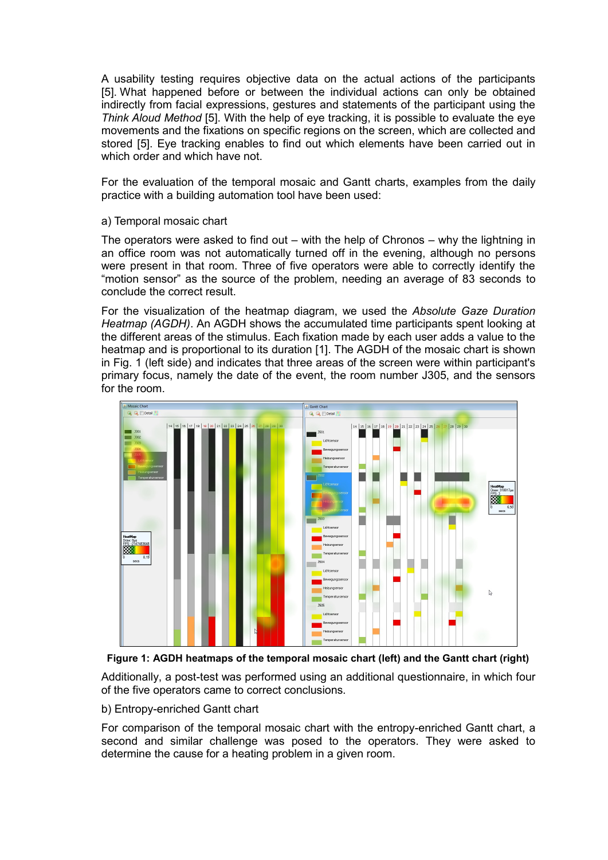A usability testing requires objective data on the actual actions of the participants [5]. What happened before or between the individual actions can only be obtained indirectly from facial expressions, gestures and statements of the participant using the *Think Aloud Method* [5]. With the help of eye tracking, it is possible to evaluate the eye movements and the fixations on specific regions on the screen, which are collected and stored [5]. Eye tracking enables to find out which elements have been carried out in which order and which have not.

For the evaluation of the temporal mosaic and Gantt charts, examples from the daily practice with a building automation tool have been used:

#### a) Temporal mosaic chart

The operators were asked to find out – with the help of Chronos – why the lightning in an office room was not automatically turned off in the evening, although no persons were present in that room. Three of five operators were able to correctly identify the "motion sensor" as the source of the problem, needing an average of 83 seconds to conclude the correct result.

For the visualization of the heatmap diagram, we used the *Absolute Gaze Duration Heatmap (AGDH)*. An AGDH shows the accumulated time participants spent looking at the different areas of the stimulus. Each fixation made by each user adds a value to the heatmap and is proportional to its duration [1]. The AGDH of the mosaic chart is shown in Fig. 1 (left side) and indicates that three areas of the screen were within participant's primary focus, namely the date of the event, the room number J305, and the sensors for the room.



**Figure 1: AGDH heatmaps of the temporal mosaic chart (left) and the Gantt chart (right)**

Additionally, a post-test was performed using an additional questionnaire, in which four of the five operators came to correct conclusions.

b) Entropy-enriched Gantt chart

For comparison of the temporal mosaic chart with the entropy-enriched Gantt chart, a second and similar challenge was posed to the operators. They were asked to determine the cause for a heating problem in a given room.